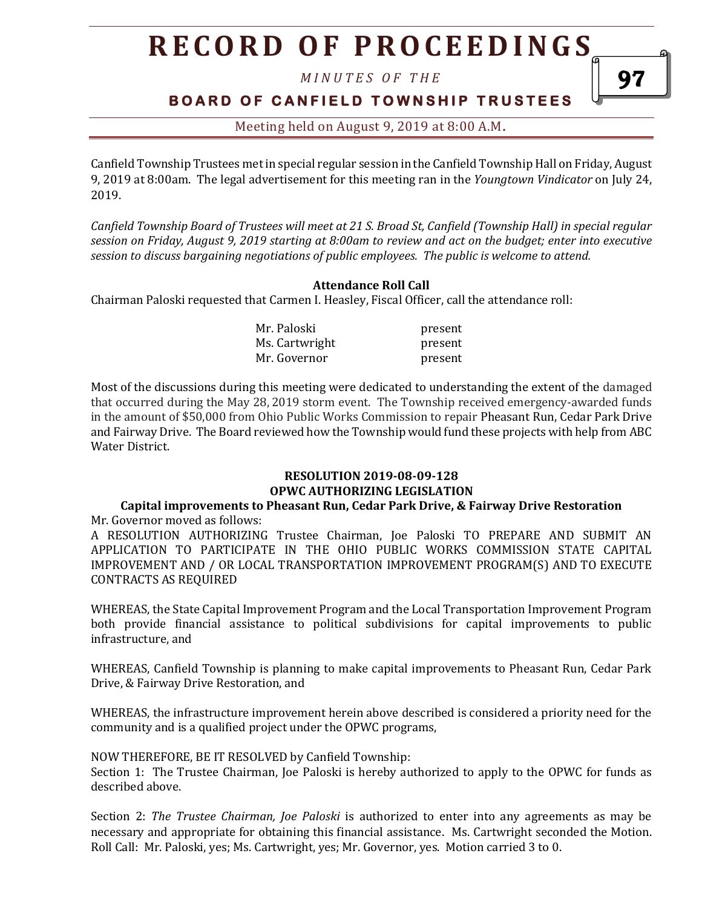# **R E C O R D O F P R O C E E D I N GS**

*M I N U T E S O F T H E* 

### **B O A R D O F C A N F I E L D T O W N S H I P T R U S T E E S**

97

Meeting held on August 9, 2019 at 8:00 A.M**.**

Canfield Township Trustees met in special regular session in the Canfield Township Hall on Friday, August 9, 2019 at 8:00am. The legal advertisement for this meeting ran in the *Youngtown Vindicator* on July 24, 2019.

*Canfield Township Board of Trustees will meet at 21 S. Broad St, Canfield (Township Hall) in special regular session on Friday, August 9, 2019 starting at 8:00am to review and act on the budget; enter into executive session to discuss bargaining negotiations of public employees. The public is welcome to attend.*

#### **Attendance Roll Call**

Chairman Paloski requested that Carmen I. Heasley, Fiscal Officer, call the attendance roll:

| Mr. Paloski    | present |
|----------------|---------|
| Ms. Cartwright | present |
| Mr. Governor   | present |

Most of the discussions during this meeting were dedicated to understanding the extent of the damaged that occurred during the May 28, 2019 storm event. The Township received emergency-awarded funds in the amount of \$50,000 from Ohio Public Works Commission to repair Pheasant Run, Cedar Park Drive and Fairway Drive. The Board reviewed how the Township would fund these projects with help from ABC Water District.

### **RESOLUTION 2019-08-09-128 OPWC AUTHORIZING LEGISLATION**

#### **Capital improvements to Pheasant Run, Cedar Park Drive, & Fairway Drive Restoration** Mr. Governor moved as follows:

A RESOLUTION AUTHORIZING Trustee Chairman, Joe Paloski TO PREPARE AND SUBMIT AN APPLICATION TO PARTICIPATE IN THE OHIO PUBLIC WORKS COMMISSION STATE CAPITAL IMPROVEMENT AND / OR LOCAL TRANSPORTATION IMPROVEMENT PROGRAM(S) AND TO EXECUTE CONTRACTS AS REQUIRED

WHEREAS, the State Capital Improvement Program and the Local Transportation Improvement Program both provide financial assistance to political subdivisions for capital improvements to public infrastructure, and

WHEREAS, Canfield Township is planning to make capital improvements to Pheasant Run, Cedar Park Drive, & Fairway Drive Restoration, and

WHEREAS, the infrastructure improvement herein above described is considered a priority need for the community and is a qualified project under the OPWC programs,

NOW THEREFORE, BE IT RESOLVED by Canfield Township:

Section 1: The Trustee Chairman, Joe Paloski is hereby authorized to apply to the OPWC for funds as described above.

Section 2: *The Trustee Chairman, Joe Paloski* is authorized to enter into any agreements as may be necessary and appropriate for obtaining this financial assistance. Ms. Cartwright seconded the Motion. Roll Call: Mr. Paloski, yes; Ms. Cartwright, yes; Mr. Governor, yes. Motion carried 3 to 0.